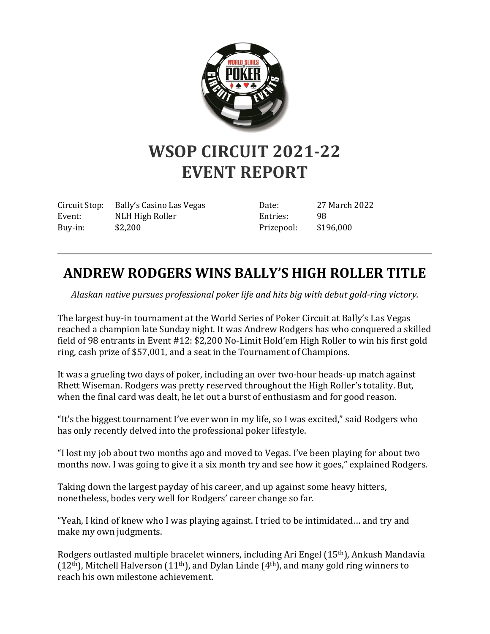

## **WSOP CIRCUIT 2021-22 EVENT REPORT**

Circuit Stop: Bally's Casino Las Vegas Event: NLH High Roller Buy-in: \$2,200

Date: 27 March 2022 Entries: 98 Prizepool: \$196,000

## **ANDREW RODGERS WINS BALLY'S HIGH ROLLER TITLE**

*Alaskan native pursues professional poker life and hits big with debut gold-ring victory.*

The largest buy-in tournament at the World Series of Poker Circuit at Bally's Las Vegas reached a champion late Sunday night. It was Andrew Rodgers has who conquered a skilled field of 98 entrants in Event #12: \$2,200 No-Limit Hold'em High Roller to win his first gold ring, cash prize of \$57,001, and a seat in the Tournament of Champions.

It was a grueling two days of poker, including an over two-hour heads-up match against Rhett Wiseman. Rodgers was pretty reserved throughout the High Roller's totality. But, when the final card was dealt, he let out a burst of enthusiasm and for good reason.

"It's the biggest tournament I've ever won in my life, so I was excited," said Rodgers who has only recently delved into the professional poker lifestyle.

"I lost my job about two months ago and moved to Vegas. I've been playing for about two months now. I was going to give it a six month try and see how it goes," explained Rodgers.

Taking down the largest payday of his career, and up against some heavy hitters, nonetheless, bodes very well for Rodgers' career change so far.

"Yeah, I kind of knew who I was playing against. I tried to be intimidated… and try and make my own judgments.

Rodgers outlasted multiple bracelet winners, including Ari Engel (15th), Ankush Mandavia  $(12<sup>th</sup>)$ , Mitchell Halverson  $(11<sup>th</sup>)$ , and Dylan Linde  $(4<sup>th</sup>)$ , and many gold ring winners to reach his own milestone achievement.